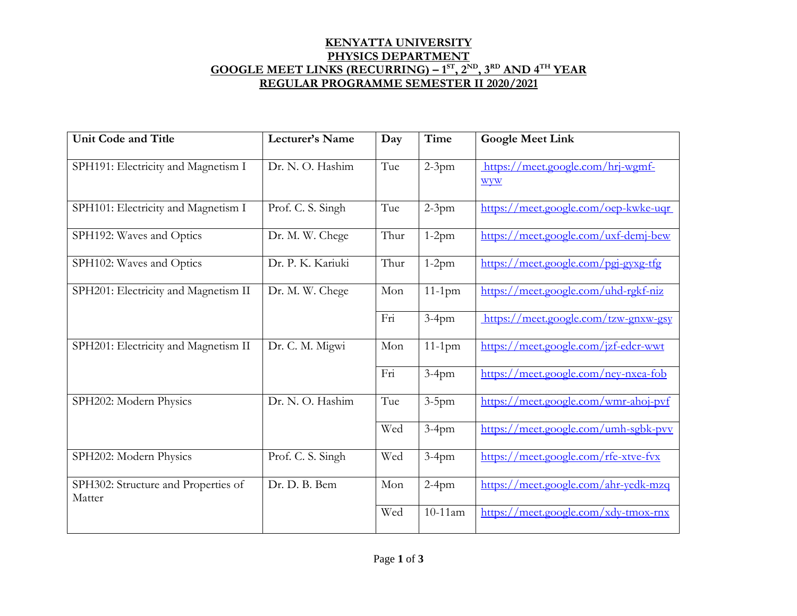## **KENYATTA UNIVERSITY PHYSICS DEPARTMENT GOOGLE MEET LINKS (RECURRING) – 1 ST, 2ND, 3RD AND 4TH YEAR REGULAR PROGRAMME SEMESTER II 2020/2021**

| <b>Unit Code and Title</b>           | Lecturer's Name   | Day  | <b>Time</b> | <b>Google Meet Link</b>              |
|--------------------------------------|-------------------|------|-------------|--------------------------------------|
|                                      |                   |      |             |                                      |
| SPH191: Electricity and Magnetism I  | Dr. N. O. Hashim  | Tue  | $2-3$ pm    | https://meet.google.com/hrj-wgmf-    |
|                                      |                   |      |             | wyw                                  |
| SPH101: Electricity and Magnetism I  | Prof. C. S. Singh | Tue  | $2-3pm$     | https://meet.google.com/oep-kwke-uqr |
|                                      |                   |      |             |                                      |
| SPH192: Waves and Optics             | Dr. M. W. Chege   | Thur | $1-2pm$     | https://meet.google.com/uxf-demj-bew |
|                                      |                   |      |             |                                      |
| SPH102: Waves and Optics             | Dr. P. K. Kariuki | Thur | $1-2pm$     | https://meet.google.com/pgj-gyxg-tfg |
| SPH201: Electricity and Magnetism II |                   | Mon  | $11-1$ pm   |                                      |
|                                      | Dr. M. W. Chege   |      |             | https://meet.google.com/uhd-rgkf-niz |
|                                      |                   | Fri  | $3-4$ pm    | https://meet.google.com/tzw-gnxw-gsy |
|                                      |                   |      |             |                                      |
| SPH201: Electricity and Magnetism II | Dr. C. M. Migwi   | Mon  | $11-1$ pm   | https://meet.google.com/jzf-edcr-wwt |
|                                      |                   |      |             |                                      |
|                                      |                   | Fri  | $3-4$ pm    | https://meet.google.com/ney-nxea-fob |
| SPH202: Modern Physics               | Dr. N. O. Hashim  | Tue  | $3-5$ pm    | https://meet.google.com/wmr-ahoj-pvf |
|                                      |                   |      |             |                                      |
|                                      |                   | Wed  | $3-4$ pm    | https://meet.google.com/umh-sgbk-pvv |
|                                      |                   |      |             |                                      |
| SPH202: Modern Physics               | Prof. C. S. Singh | Wed  | $3-4$ pm    | https://meet.google.com/rfe-xtve-fvx |
| SPH302: Structure and Properties of  | Dr. D. B. Bem     | Mon  | $2-4$ pm    | https://meet.google.com/ahr-yedk-mzq |
| Matter                               |                   |      |             |                                      |
|                                      |                   | Wed  | 10-11am     | https://meet.google.com/xdy-tmox-rnx |
|                                      |                   |      |             |                                      |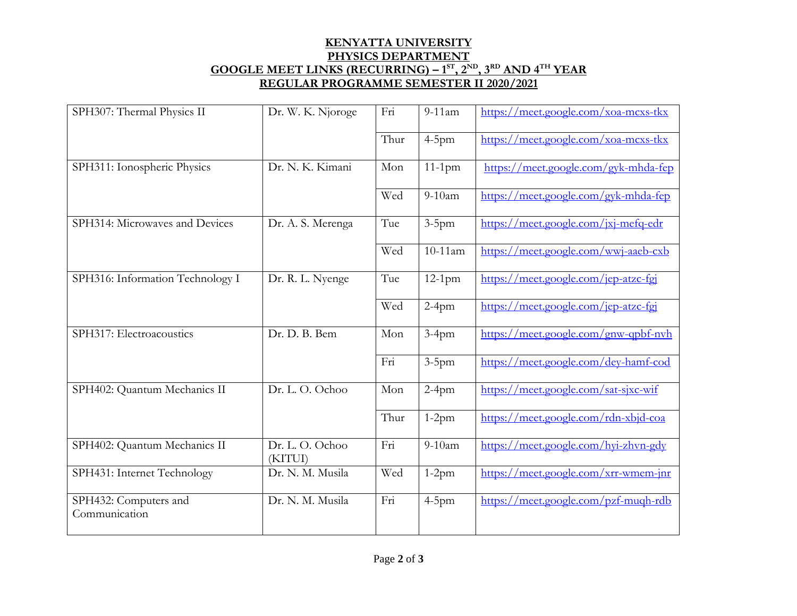## **KENYATTA UNIVERSITY PHYSICS DEPARTMENT GOOGLE MEET LINKS (RECURRING) – 1 ST, 2ND, 3RD AND 4TH YEAR REGULAR PROGRAMME SEMESTER II 2020/2021**

| SPH307: Thermal Physics II             | Dr. W. K. Njoroge          | Fri  | $9-11$ am  | https://meet.google.com/xoa-mcxs-tkx |
|----------------------------------------|----------------------------|------|------------|--------------------------------------|
|                                        |                            | Thur | $4-5$ pm   | https://meet.google.com/xoa-mcxs-tkx |
| SPH311: Ionospheric Physics            | Dr. N. K. Kimani           | Mon  | $11-1$ pm  | https://meet.google.com/gyk-mhda-fep |
|                                        |                            | Wed  | $9-10am$   | https://meet.google.com/gyk-mhda-fep |
| SPH314: Microwaves and Devices         | Dr. A. S. Merenga          | Tue  | $3-5$ pm   | https://meet.google.com/jxj-mefq-edr |
|                                        |                            | Wed  | $10-11$ am | https://meet.google.com/wwj-aaeb-cxb |
| SPH316: Information Technology I       | Dr. R. L. Nyenge           | Tue  | $12-1$ pm  | https://meet.google.com/jep-atzc-fgj |
|                                        |                            | Wed  | $2-4$ pm   | https://meet.google.com/jep-atzc-fgj |
| SPH317: Electroacoustics               | Dr. D. B. Bem              | Mon  | $3-4$ pm   | https://meet.google.com/gnw-qpbf-nvh |
|                                        |                            | Fri  | $3-5$ pm   | https://meet.google.com/dey-hamf-cod |
| SPH402: Quantum Mechanics II           | Dr. L. O. Ochoo            | Mon  | $2-4$ pm   | https://meet.google.com/sat-sjxc-wif |
|                                        |                            | Thur | $1-2pm$    | https://meet.google.com/rdn-xbjd-coa |
| SPH402: Quantum Mechanics II           | Dr. L. O. Ochoo<br>(KITUI) | Fri  | $9-10am$   | https://meet.google.com/hyi-zhvn-gdy |
| SPH431: Internet Technology            | Dr. N. M. Musila           | Wed  | $1-2pm$    | https://meet.google.com/xrr-wmem-jnr |
| SPH432: Computers and<br>Communication | Dr. N. M. Musila           | Fri  | $4-5$ pm   | https://meet.google.com/pzf-mugh-rdb |